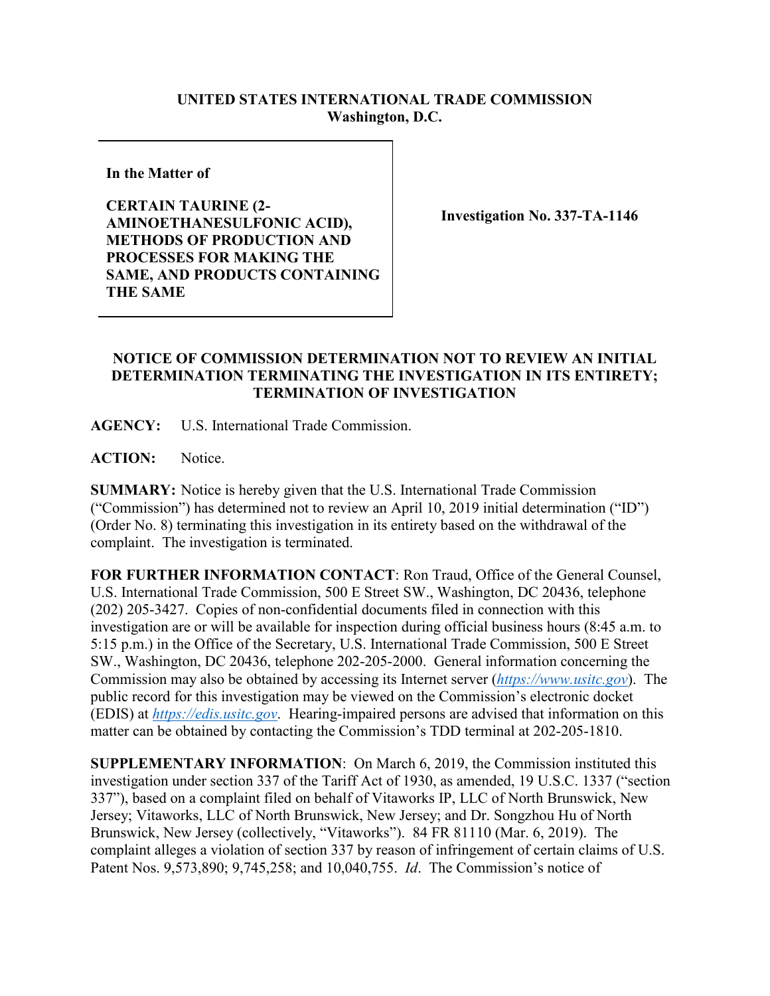## **UNITED STATES INTERNATIONAL TRADE COMMISSION Washington, D.C.**

**In the Matter of**

**CERTAIN TAURINE (2- AMINOETHANESULFONIC ACID), METHODS OF PRODUCTION AND PROCESSES FOR MAKING THE SAME, AND PRODUCTS CONTAINING THE SAME**

**Investigation No. 337-TA-1146**

## **NOTICE OF COMMISSION DETERMINATION NOT TO REVIEW AN INITIAL DETERMINATION TERMINATING THE INVESTIGATION IN ITS ENTIRETY; TERMINATION OF INVESTIGATION**

**AGENCY:** U.S. International Trade Commission.

ACTION: Notice.

**SUMMARY:** Notice is hereby given that the U.S. International Trade Commission ("Commission") has determined not to review an April 10, 2019 initial determination ("ID") (Order No. 8) terminating this investigation in its entirety based on the withdrawal of the complaint. The investigation is terminated.

**FOR FURTHER INFORMATION CONTACT**: Ron Traud, Office of the General Counsel, U.S. International Trade Commission, 500 E Street SW., Washington, DC 20436, telephone (202) 205-3427. Copies of non-confidential documents filed in connection with this investigation are or will be available for inspection during official business hours (8:45 a.m. to 5:15 p.m.) in the Office of the Secretary, U.S. International Trade Commission, 500 E Street SW., Washington, DC 20436, telephone 202-205-2000. General information concerning the Commission may also be obtained by accessing its Internet server (*[https://www.usitc.gov](https://www.usitc.gov/)*). The public record for this investigation may be viewed on the Commission's electronic docket (EDIS) at *[https://edis.usitc.gov](https://edis.usitc.gov/)*. Hearing-impaired persons are advised that information on this matter can be obtained by contacting the Commission's TDD terminal at 202-205-1810.

**SUPPLEMENTARY INFORMATION**: On March 6, 2019, the Commission instituted this investigation under section 337 of the Tariff Act of 1930, as amended, 19 U.S.C. 1337 ("section 337"), based on a complaint filed on behalf of Vitaworks IP, LLC of North Brunswick, New Jersey; Vitaworks, LLC of North Brunswick, New Jersey; and Dr. Songzhou Hu of North Brunswick, New Jersey (collectively, "Vitaworks"). 84 FR 81110 (Mar. 6, 2019). The complaint alleges a violation of section 337 by reason of infringement of certain claims of U.S. Patent Nos. 9,573,890; 9,745,258; and 10,040,755. *Id*. The Commission's notice of